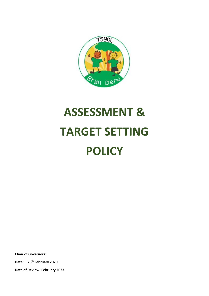

# **ASSESSMENT & TARGET SETTING POLICY**

**Chair of Governors:**

**Date: 26th February 2020**

**Date of Review: February 2023**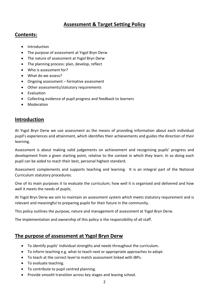# **Assessment & Target Setting Policy**

### **Contents:**

- Introduction
- The purpose of assessment at Ysgol Bryn Derw
- The nature of assessment at Ysgol Bryn Derw
- The planning process: plan, develop, reflect
- Who is assessment for?
- What do we assess?
- Ongoing assessment formative assessment
- Other assessments/statutory requirements
- Evaluation
- Collecting evidence of pupil progress and feedback to learners
- Moderation

# **Introduction**

At Ysgol Bryn Derw we use assessment as the means of providing information about each individual pupil's experiences and attainment, which identifies their achievements and guides the direction of their learning.

Assessment is about making valid judgements on achievement and recognising pupils' progress and development from a given starting point, relative to the context in which they learn. In so doing each pupil can be aided to reach their best, personal highest standard.

Assessment complements and supports teaching and learning. It is an integral part of the National Curriculum statutory procedures.

One of its main purposes it to evaluate the curriculum; how well it is organised and delivered and how well it meets the needs of pupils.

At Ysgol Bryn Derw we aim to maintain an assessment system which meets statutory requirement and is relevant and meaningful to preparing pupils for their future in the community.

This policy outlines the purpose, nature and management of assessment at Ysgol Bryn Derw.

The implementation and ownership of this policy is the responsibility of all staff.

# **The purpose of assessment at Ysgol Bryn Derw**

- To identify pupils' individual strengths and needs throughout the curriculum.
- To inform teaching e.g. what to teach next or appropriate approaches to adopt.
- To teach at the correct level to match assessment linked with IBPs.
- To evaluate teaching.
- To contribute to pupil centred planning.
- Provide smooth transition across key stages and leaving school.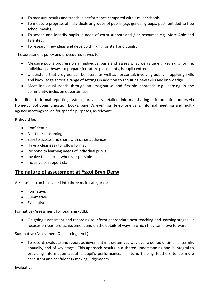- To measure results and trends in performance compared with similar schools.
- To measure progress of individuals or groups of pupils (e.g. gender groups, pupil entitled to free school meals).
- To screen and identify pupils in need of extra support and / or resources e.g. More Able and Talented.
- To research new ideas and develop thinking for staff and pupils.

The assessment policy and procedures strives to:

- Measure pupils progress on an individual basis and assess what we value e.g. key skills for life, individual pathways to prepare for future placements, is pupil centred.
- Understand that progress can be lateral as well as horizontal, involving pupils in applying skills and knowledge across a range of settings in addition to acquiring new skills and knowledge.
- Meet individual needs through an imaginative and flexible approach e.g. learning in the community, inclusion opportunities.

In addition to formal reporting systems, previously detailed, informal sharing of information occurs via Home-School Communication books, parent's evenings, telephone calls, informal meetings and multiagency meetings called for specific purposes, as relevant.

It should be:

- Confidential
- Not time consuming
- Easy to access and share with other audiences
- Have a clear easy to follow format
- Respond to learning needs of individual pupils
- Involve the learner wherever possible
- Inclusive of support staff

#### **The nature of assessment at Ysgol Bryn Derw**

Assessment can be divided into three main categories:

- Formative,
- Summative
- **•** Evaluative.

Formative (Assessment For Learning - AfL).

 On-going assessment and recording to inform appropriate next teaching and learning stages. It focuses on learners' achievement and on the details of ways in which they can move forward.

Summative (Assessment Of Learning - AoL).

 To record, evaluate and report achievement in a systematic way over a period of time i.e. termly, annually, end of key stage. This approach results in a shared understanding and is integral to providing information about a pupil's performance. In turn, helping teachers to be more consistent and confident in making judgements.

Evaluative.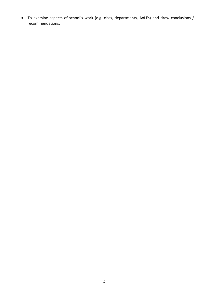To examine aspects of school's work (e.g. class, departments, AoLEs) and draw conclusions / recommendations.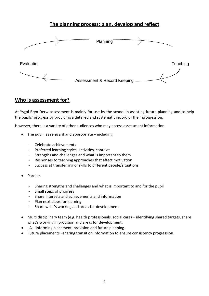# **The planning process: plan, develop and reflect**



## **Who is assessment for?**

At Ysgol Bryn Derw assessment is mainly for use by the school in assisting future planning and to help the pupils' progress by providing a detailed and systematic record of their progression.

However, there is a variety of other audiences who may access assessment information:

- The pupil, as relevant and appropriate including:
	- Celebrate achievements
	- Preferred learning styles, activities, contexts
	- Strengths and challenges and what is important to them
	- Responses to teaching approaches that affect motivation
	- Success at transferring of skills to different people/situations
- Parents
	- Sharing strengths and challenges and what is important to and for the pupil
	- Small steps of progress
	- Share interests and achievements and information
	- Plan next steps for learning
	- Share what's working and areas for development
- Multi disciplinary team (e.g. health professionals, social care) identifying shared targets, share what's working in provision and areas for development.
- LA informing placement, provision and future planning.
- Future placements –sharing transition information to ensure consistency progression.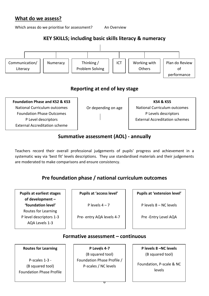# **What do we assess?**

Which areas do we prioritise for assessment? An Overview

# **KEY SKILLS; including basic skills literacy & numeracy**



# **Reporting at end of key stage**

**Foundation Phase and KS2 & KS3** National Curriculum outcomes Foundation Phase Outcomes P Level descriptors External Accreditation scheme

Or depending on age

**KS4 & KS5** National Curriculum outcomes P Levels descriptors External Accreditation schemes

# **Summative assessment (AOL) - annually**

Teachers record their overall professional judgements of pupils' progress and achievement in a systematic way via 'best fit' levels descriptions. They use standardised materials and their judgements are moderated to make comparisons and ensure consistency.

# **Pre foundation phase / national curriculum outcomes**

**Pupils at earliest stages of development – 'foundation level'**  Routes for Learning P level descriptors 1-3 AQA Levels 1-3

**Pupils at 'access level'**

P levels  $4 - 7$ 

Pre- entry AQA levels 4-7

**Pupils at 'extension level'**

P levels 8 – NC levels

Pre -Entry Level AQA

#### **Formative assessment – continuous**

6

#### **Routes for Learning**

P-scales 1-3 - (B squared tool) Foundation Phase Profile

**P Levels 4-7**  (B squared tool) Foundation Phase Profile / P-scales / NC levels

**P levels 8 –NC levels** (B squared tool)

Foundation, P-scale & NC levels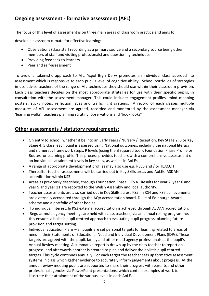# **Ongoing assessment - formative assessment (AFL)**

The focus of this level of assessment is on three main areas of classroom practice and aims to

develop a classroom climate for effective learning:

- Observations (class staff recording as a primary source and a secondary source being other members of staff and visiting professionals) and questioning techniques
- Providing feedback to learners
- Peer and self-assessment

To avoid a tokenistic approach to AfL, Ysgol Bryn Derw promotes an individual class approach to assessment which is responsive to each pupil's level of cognitive ability. School portfolios of strategies in use advise teachers of the range of AfL techniques they should use within their classroom provision. Each class teachers decides on the most appropriate strategies for use with their specific pupils, in consultation with the assessment manager. This could include; engagement profiles, mind mapping posters, sticky notes, reflection faces and traffic light systems. A record of each classes multiple measures of AFL assessment are agreed, recorded and monitored by the assessment manager via 'learning walks', teachers planning scrutiny, observations and 'book looks''.

# **Other assessments / statutory requirements:**

- On entry to school, whether it be into an Early Years / Nursery / Reception, Key Stage 2, 3 or Key Stage 4, 5 class, each pupil is assessed using National outcomes, including the national literacy and numeracy framework steps, P levels (using the B squared tool), Foundation Phase Profile or Routes for Learning profile. This process provides teachers with a comprehensive assessment of an individual's attainment levels in key skills, as well as in AoLEs.
- A range of appropriate development profiles may also use e.g. PECS and / or TEACCH
- Thereafter teacher assessments will be carried out in Key Skills areas and AoLEs. ASDAN accreditation within KS3
- Areas as previously described, through Foundation Phase KS 4. Results for year 2, year 6 and year 9 and year 11 are reported to the Welsh Assembly and local authority.
- Teacher assessments are also carried out in Key Skills across KS5. In KS4 and KS5 achievements are externally accredited through the AQA accreditation board, Duke of Edinburgh Award scheme and a portfolio of other bodies
- To individual interest. In KS3 external accreditation is achieved through ASDAN accreditation.
- Regular multi agency meetings are held with class teachers, via an annual rolling programme, this ensures a holistic pupil centred approach to evaluating pupil progress, planning future provision and target setting.
- Individual Education Plans all pupils are set personal targets for learning related to areas of need in their Statements of Educational Need and Individual Development Plans (IDPs). These targets are agreed with the pupil, family and other multi agency professionals at the pupil's Annual Review meeting. A summative report is drawn up by the class teacher to report on progress, and afterwards another is created to plan and deliver the holistic pupil centred targets. This cycle continues annually. For each target the teacher sets up formative assessment systems in class which gather evidence to accurately inform judgements about progress. At the annual review meeting pupils are supported to share their progress with parents and other professional agencies via PowerPoint presentations, which contain examples of work to illustrate their attainment of the various levels in each AoLE.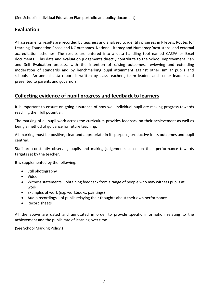(See School's Individual Education Plan portfolio and policy document).

# **Evaluation**

All assessments results are recorded by teachers and analysed to identify progress in P levels, Routes for Learning, Foundation Phase and NC outcomes, National Literacy and Numeracy 'next steps' and external accreditation schemes. The results are entered into a data handling tool named CASPA or Excel documents. This data and evaluation judgements directly contribute to the School Improvement Plan and Self Evaluation process, with the intention of raising outcomes, reviewing and extending moderation of standards and by benchmarking pupil attainment against other similar pupils and schools. An annual data report is written by class teachers, team leaders and senior leaders and presented to parents and governors.

## **Collecting evidence of pupil progress and feedback to learners**

It is important to ensure on-going assurance of how well individual pupil are making progress towards reaching their full potential.

The marking of all pupil work across the curriculum provides feedback on their achievement as well as being a method of guidance for future teaching.

All marking must be positive, clear and appropriate in its purpose, productive in its outcomes and pupil centred.

Staff are constantly observing pupils and making judgements based on their performance towards targets set by the teacher.

It is supplemented by the following;

- $\bullet$  Still photography
- Video
- Witness statements obtaining feedback from a range of people who may witness pupils at work
- Examples of work (e.g. workbooks, paintings)
- Audio recordings of pupils relaying their thoughts about their own performance
- Record sheets

All the above are dated and annotated in order to provide specific information relating to the achievement and the pupils rate of learning over time.

(See School Marking Policy.)